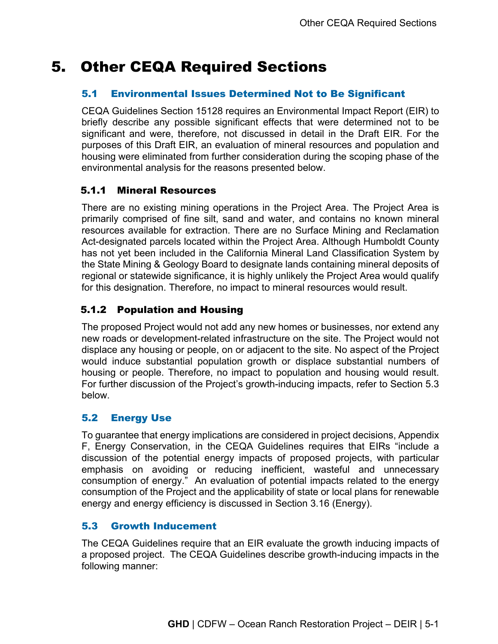# 5. Other CEQA Required Sections

### 5.1 Environmental Issues Determined Not to Be Significant

CEQA Guidelines Section 15128 requires an Environmental Impact Report (EIR) to briefly describe any possible significant effects that were determined not to be significant and were, therefore, not discussed in detail in the Draft EIR. For the purposes of this Draft EIR, an evaluation of mineral resources and population and housing were eliminated from further consideration during the scoping phase of the environmental analysis for the reasons presented below.

## 5.1.1 Mineral Resources

There are no existing mining operations in the Project Area. The Project Area is primarily comprised of fine silt, sand and water, and contains no known mineral resources available for extraction. There are no Surface Mining and Reclamation Act-designated parcels located within the Project Area. Although Humboldt County has not yet been included in the California Mineral Land Classification System by the State Mining & Geology Board to designate lands containing mineral deposits of regional or statewide significance, it is highly unlikely the Project Area would qualify for this designation. Therefore, no impact to mineral resources would result.

## 5.1.2 Population and Housing

The proposed Project would not add any new homes or businesses, nor extend any new roads or development-related infrastructure on the site. The Project would not displace any housing or people, on or adjacent to the site. No aspect of the Project would induce substantial population growth or displace substantial numbers of housing or people. Therefore, no impact to population and housing would result. For further discussion of the Project's growth-inducing impacts, refer to Section 5.3 below.

## 5.2 Energy Use

To guarantee that energy implications are considered in project decisions, Appendix F, Energy Conservation, in the CEQA Guidelines requires that EIRs "include a discussion of the potential energy impacts of proposed projects, with particular emphasis on avoiding or reducing inefficient, wasteful and unnecessary consumption of energy." An evaluation of potential impacts related to the energy consumption of the Project and the applicability of state or local plans for renewable energy and energy efficiency is discussed in Section 3.16 (Energy).

#### 5.3 Growth Inducement

The CEQA Guidelines require that an EIR evaluate the growth inducing impacts of a proposed project. The CEQA Guidelines describe growth-inducing impacts in the following manner: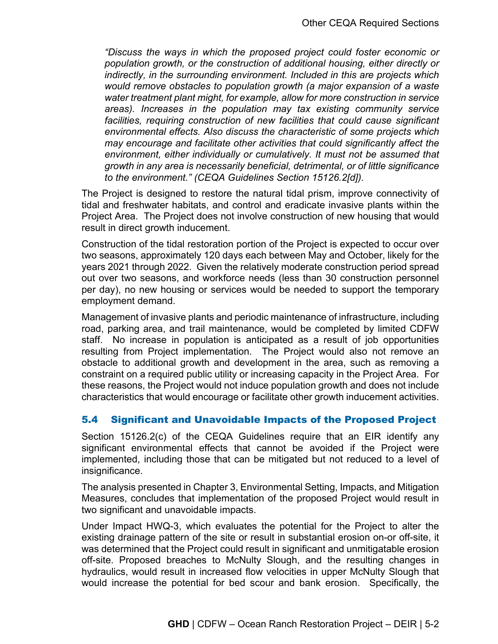*"Discuss the ways in which the proposed project could foster economic or population growth, or the construction of additional housing, either directly or indirectly, in the surrounding environment. Included in this are projects which would remove obstacles to population growth (a major expansion of a waste water treatment plant might, for example, allow for more construction in service areas). Increases in the population may tax existing community service facilities, requiring construction of new facilities that could cause significant environmental effects. Also discuss the characteristic of some projects which may encourage and facilitate other activities that could significantly affect the environment, either individually or cumulatively. It must not be assumed that growth in any area is necessarily beneficial, detrimental, or of little significance to the environment." (CEQA Guidelines Section 15126.2[d]).*

The Project is designed to restore the natural tidal prism, improve connectivity of tidal and freshwater habitats, and control and eradicate invasive plants within the Project Area. The Project does not involve construction of new housing that would result in direct growth inducement.

Construction of the tidal restoration portion of the Project is expected to occur over two seasons, approximately 120 days each between May and October, likely for the years 2021 through 2022. Given the relatively moderate construction period spread out over two seasons, and workforce needs (less than 30 construction personnel per day), no new housing or services would be needed to support the temporary employment demand.

Management of invasive plants and periodic maintenance of infrastructure, including road, parking area, and trail maintenance, would be completed by limited CDFW staff. No increase in population is anticipated as a result of job opportunities resulting from Project implementation. The Project would also not remove an obstacle to additional growth and development in the area, such as removing a constraint on a required public utility or increasing capacity in the Project Area. For these reasons, the Project would not induce population growth and does not include characteristics that would encourage or facilitate other growth inducement activities.

#### 5.4 Significant and Unavoidable Impacts of the Proposed Project

Section 15126.2(c) of the CEQA Guidelines require that an EIR identify any significant environmental effects that cannot be avoided if the Project were implemented, including those that can be mitigated but not reduced to a level of insignificance.

The analysis presented in Chapter 3, Environmental Setting, Impacts, and Mitigation Measures, concludes that implementation of the proposed Project would result in two significant and unavoidable impacts.

Under Impact HWQ-3, which evaluates the potential for the Project to alter the existing drainage pattern of the site or result in substantial erosion on-or off-site, it was determined that the Project could result in significant and unmitigatable erosion off-site. Proposed breaches to McNulty Slough, and the resulting changes in hydraulics, would result in increased flow velocities in upper McNulty Slough that would increase the potential for bed scour and bank erosion. Specifically, the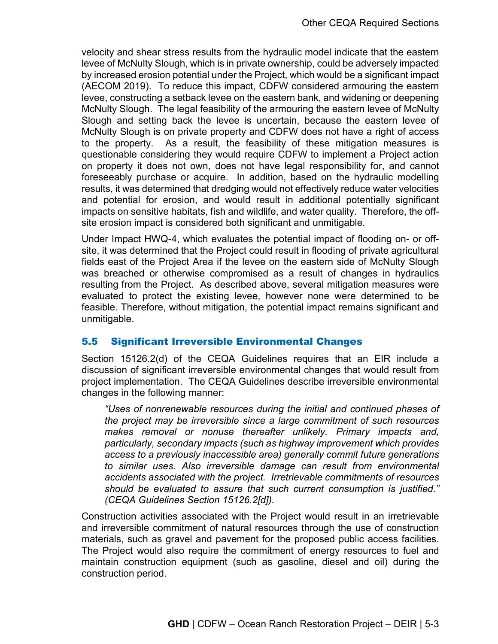velocity and shear stress results from the hydraulic model indicate that the eastern levee of McNulty Slough, which is in private ownership, could be adversely impacted by increased erosion potential under the Project, which would be a significant impact (AECOM 2019). To reduce this impact, CDFW considered armouring the eastern levee, constructing a setback levee on the eastern bank, and widening or deepening McNulty Slough. The legal feasibility of the armouring the eastern levee of McNulty Slough and setting back the levee is uncertain, because the eastern levee of McNulty Slough is on private property and CDFW does not have a right of access to the property. As a result, the feasibility of these mitigation measures is questionable considering they would require CDFW to implement a Project action on property it does not own, does not have legal responsibility for, and cannot foreseeably purchase or acquire. In addition, based on the hydraulic modelling results, it was determined that dredging would not effectively reduce water velocities and potential for erosion, and would result in additional potentially significant impacts on sensitive habitats, fish and wildlife, and water quality. Therefore, the offsite erosion impact is considered both significant and unmitigable.

Under Impact HWQ-4, which evaluates the potential impact of flooding on- or offsite, it was determined that the Project could result in flooding of private agricultural fields east of the Project Area if the levee on the eastern side of McNulty Slough was breached or otherwise compromised as a result of changes in hydraulics resulting from the Project. As described above, several mitigation measures were evaluated to protect the existing levee, however none were determined to be feasible. Therefore, without mitigation, the potential impact remains significant and unmitigable.

#### 5.5 Significant Irreversible Environmental Changes

Section 15126.2(d) of the CEQA Guidelines requires that an EIR include a discussion of significant irreversible environmental changes that would result from project implementation. The CEQA Guidelines describe irreversible environmental changes in the following manner:

*"Uses of nonrenewable resources during the initial and continued phases of the project may be irreversible since a large commitment of such resources makes removal or nonuse thereafter unlikely. Primary impacts and, particularly, secondary impacts (such as highway improvement which provides access to a previously inaccessible area) generally commit future generations to similar uses. Also irreversible damage can result from environmental accidents associated with the project. Irretrievable commitments of resources should be evaluated to assure that such current consumption is justified." (CEQA Guidelines Section 15126.2[d]).*

Construction activities associated with the Project would result in an irretrievable and irreversible commitment of natural resources through the use of construction materials, such as gravel and pavement for the proposed public access facilities. The Project would also require the commitment of energy resources to fuel and maintain construction equipment (such as gasoline, diesel and oil) during the construction period.